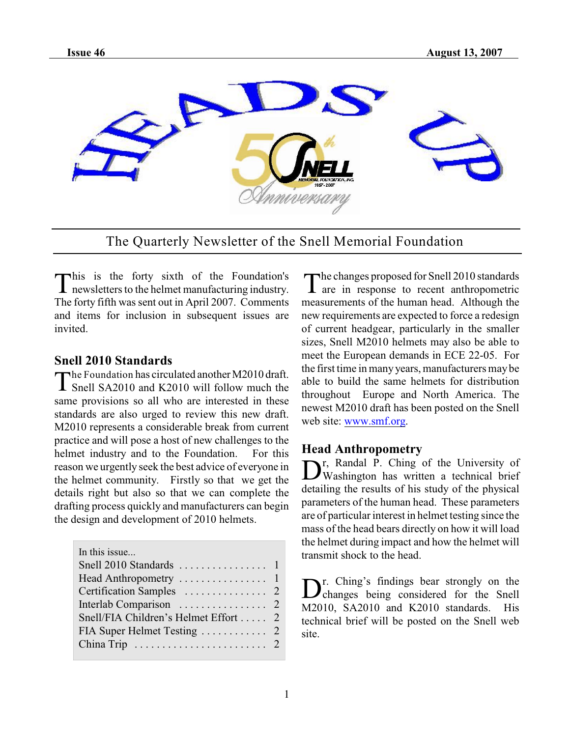

The Quarterly Newsletter of the Snell Memorial Foundation

This is the forty sixth of the Foundation's<br>newsletters to the helmet manufacturing industry. This is the forty sixth of the Foundation's The forty fifth was sent out in April 2007. Comments and items for inclusion in subsequent issues are invited.

#### **Snell 2010 Standards**

The Foundation has circulated another M2010 draft.<br>
Snell SA2010 and K2010 will follow much the he Foundation has circulated another M2010 draft. same provisions so all who are interested in these standards are also urged to review this new draft. M2010 represents a considerable break from current practice and will pose a host of new challenges to the helmet industry and to the Foundation. For this reason we urgently seek the best advice of everyone in the helmet community. Firstly so that we get the details right but also so that we can complete the drafting process quickly and manufacturers can begin the design and development of 2010 helmets.

| In this issue                         |  |
|---------------------------------------|--|
|                                       |  |
|                                       |  |
|                                       |  |
|                                       |  |
| Snell/FIA Children's Helmet Effort  2 |  |
|                                       |  |
|                                       |  |
|                                       |  |

The changes proposed for Snell 2010 standards<br>T are in response to recent anthropometric **1** are in response to recent anthropometric

measurements of the human head. Although the new requirements are expected to force a redesign of current headgear, particularly in the smaller sizes, Snell M2010 helmets may also be able to meet the European demands in ECE 22-05. For the first time in many years, manufacturers may be able to build the same helmets for distribution throughout Europe and North America. The newest M2010 draft has been posted on the Snell web site: [www.smf.org](http://www.smf.org).

## **Head Anthropometry**

Dr, Randal P. Ching of the University of<br>Washington has written a technical brief r, Randal P. Ching of the University of detailing the results of his study of the physical parameters of the human head. These parameters are of particular interest in helmet testing since the mass of the head bears directly on how it will load the helmet during impact and how the helmet will transmit shock to the head.

D<sup>r.</sup> Ching's findings bear strongly on the Snell r. Ching's findings bear strongly on the M2010, SA2010 and K2010 standards. His technical brief will be posted on the Snell web site.